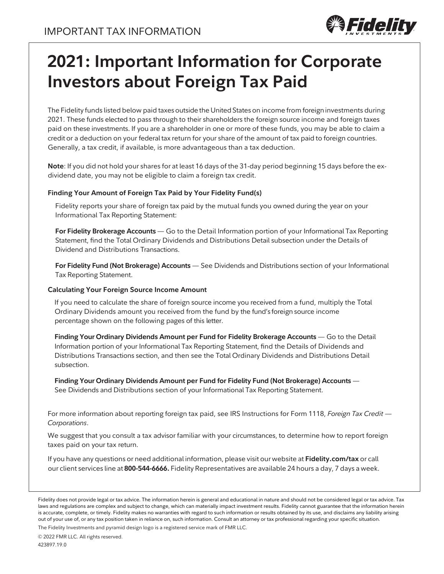

# **2021: Important Information for Corporate Investors about Foreign Tax Paid**

The Fidelity funds listed below paid taxes outside the United States on income from foreign investments during 2021. These funds elected to pass through to their shareholders the foreign source income and foreign taxes paid on these investments. If you are a shareholder in one or more of these funds, you may be able to claim a credit or a deduction on your federal tax return for your share of the amount of tax paid to foreign countries. Generally, a tax credit, if available, is more advantageous than a tax deduction.

**Note**: If you did not hold your shares for at least 16 days of the 31-day period beginning 15 days before the exdividend date, you may not be eligible to claim a foreign tax credit.

#### **Finding Your Amount of Foreign Tax Paid by Your Fidelity Fund(s)**

Fidelity reports your share of foreign tax paid by the mutual funds you owned during the year on your Informational Tax Reporting Statement:

**For Fidelity Brokerage Accounts** — Go to the Detail Information portion of your Informational Tax Reporting Statement, find the Total Ordinary Dividends and Distributions Detail subsection under the Details of Dividend and Distributions Transactions.

**For Fidelity Fund (Not Brokerage) Accounts** — See Dividends and Distributions section of your Informational Tax Reporting Statement.

#### **Calculating Your Foreign Source Income Amount**

If you need to calculate the share of foreign source income you received from a fund, multiply the Total Ordinary Dividends amount you received from the fund by the fund's foreign source income percentage shown on the following pages of this letter.

**Finding Your Ordinary Dividends Amount per Fund for Fidelity Brokerage Accounts** — Go to the Detail Information portion of your Informational Tax Reporting Statement, find the Details of Dividends and Distributions Transactions section, and then see the Total Ordinary Dividends and Distributions Detail subsection.

**Finding Your Ordinary Dividends Amount per Fund for Fidelity Fund (Not Brokerage) Accounts** — See Dividends and Distributions section of your Informational Tax Reporting Statement.

For more information about reporting foreign tax paid, see IRS Instructions for Form 1118, *Foreign Tax Credit — Corporations*.

We suggest that you consult a tax advisor familiar with your circumstances, to determine how to report foreign taxes paid on your tax return.

If you have any questions or need additional information, please visit our website at **Fidelity.com/tax** or call our client services line at **800-544-6666.** Fidelity Representatives are available 24 hours a day, 7 days a week.

The Fidelity Investments and pyramid design logo is a registered service mark of FMR LLC.

Fidelity does not provide legal or tax advice. The information herein is general and educational in nature and should not be considered legal or tax advice. Tax laws and regulations are complex and subject to change, which can materially impact investment results. Fidelity cannot guarantee that the information herein is accurate, complete, or timely. Fidelity makes no warranties with regard to such information or results obtained by its use, and disclaims any liability arising out of your use of, or any tax position taken in reliance on, such information. Consult an attorney or tax professional regarding your specific situation.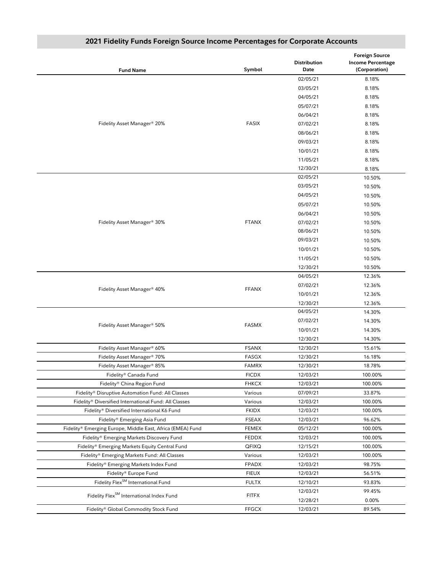| <b>Fund Name</b>                                           | Symbol       | <b>Distribution</b><br>Date | <b>Foreign Source</b><br><b>Income Percentage</b><br>(Corporation) |
|------------------------------------------------------------|--------------|-----------------------------|--------------------------------------------------------------------|
|                                                            |              | 02/05/21                    | 8.18%                                                              |
|                                                            |              | 03/05/21                    | 8.18%                                                              |
|                                                            |              | 04/05/21                    | 8.18%                                                              |
|                                                            |              | 05/07/21                    | 8.18%                                                              |
|                                                            |              | 06/04/21                    | 8.18%                                                              |
| Fidelity Asset Manager® 20%                                | <b>FASIX</b> | 07/02/21                    | 8.18%                                                              |
|                                                            |              | 08/06/21                    | 8.18%                                                              |
|                                                            |              | 09/03/21                    | 8.18%                                                              |
|                                                            |              | 10/01/21                    | 8.18%                                                              |
|                                                            |              | 11/05/21                    | 8.18%                                                              |
|                                                            |              | 12/30/21                    | 8.18%                                                              |
|                                                            |              | 02/05/21                    | 10.50%                                                             |
|                                                            |              | 03/05/21                    | 10.50%                                                             |
|                                                            |              | 04/05/21                    | 10.50%                                                             |
|                                                            |              | 05/07/21                    | 10.50%                                                             |
|                                                            |              | 06/04/21                    | 10.50%                                                             |
| Fidelity Asset Manager® 30%                                | <b>FTANX</b> | 07/02/21                    | 10.50%                                                             |
|                                                            |              | 08/06/21                    | 10.50%                                                             |
|                                                            |              | 09/03/21                    | 10.50%                                                             |
|                                                            |              | 10/01/21                    | 10.50%                                                             |
|                                                            |              | 11/05/21                    | 10.50%                                                             |
|                                                            |              | 12/30/21                    | 10.50%                                                             |
|                                                            | <b>FFANX</b> | 04/05/21                    | 12.36%                                                             |
|                                                            |              | 07/02/21                    | 12.36%                                                             |
| Fidelity Asset Manager® 40%                                |              | 10/01/21                    | 12.36%                                                             |
|                                                            |              | 12/30/21                    | 12.36%                                                             |
|                                                            | <b>FASMX</b> | 04/05/21                    | 14.30%                                                             |
| Fidelity Asset Manager® 50%                                |              | 07/02/21                    | 14.30%                                                             |
|                                                            |              |                             |                                                                    |
|                                                            |              | 10/01/21                    | 14.30%                                                             |
|                                                            |              | 12/30/21<br>12/30/21        | 14.30%                                                             |
| Fidelity Asset Manager® 60%                                | <b>FSANX</b> |                             | 15.61%                                                             |
| Fidelity Asset Manager® 70%                                | <b>FASGX</b> | 12/30/21                    | 16.18%                                                             |
| Fidelity Asset Manager® 85%                                | <b>FAMRX</b> | 12/30/21                    | 18.78%                                                             |
| Fidelity® Canada Fund                                      | <b>FICDX</b> | 12/03/21                    | 100.00%                                                            |
| Fidelity® China Region Fund                                | <b>FHKCX</b> | 12/03/21                    | 100.00%                                                            |
| Fidelity® Disruptive Automation Fund: All Classes          | Various      | 07/09/21                    | 33.87%                                                             |
| Fidelity® Diversified International Fund: All Classes      | Various      | 12/03/21                    | 100.00%                                                            |
| Fidelity® Diversified International K6 Fund                | <b>FKIDX</b> | 12/03/21                    | 100.00%                                                            |
| Fidelity® Emerging Asia Fund                               | <b>FSEAX</b> | 12/03/21                    | 96.62%                                                             |
| Fidelity® Emerging Europe, Middle East, Africa (EMEA) Fund | FEMEX        | 05/12/21                    | 100.00%                                                            |
| Fidelity® Emerging Markets Discovery Fund                  | <b>FEDDX</b> | 12/03/21                    | 100.00%                                                            |
| Fidelity® Emerging Markets Equity Central Fund             | QFIXQ        | 12/15/21                    | 100.00%                                                            |
| Fidelity® Emerging Markets Fund: All Classes               | Various      | 12/03/21                    | 100.00%                                                            |
| Fidelity® Emerging Markets Index Fund                      | FPADX        | 12/03/21                    | 98.75%                                                             |
| Fidelity® Europe Fund                                      | <b>FIEUX</b> | 12/03/21                    | 56.51%                                                             |
| Fidelity Flex <sup>SM</sup> International Fund             | <b>FULTX</b> | 12/10/21                    | 93.83%                                                             |
| Fidelity Flex <sup>SM</sup> International Index Fund       | <b>FITFX</b> | 12/03/21                    | 99.45%                                                             |
|                                                            |              | 12/28/21                    | 0.00%                                                              |
| Fidelity® Global Commodity Stock Fund                      | <b>FFGCX</b> | 12/03/21                    | 89.54%                                                             |

## **2021 Fidelity Funds Foreign Source Income Percentages for Corporate Accounts**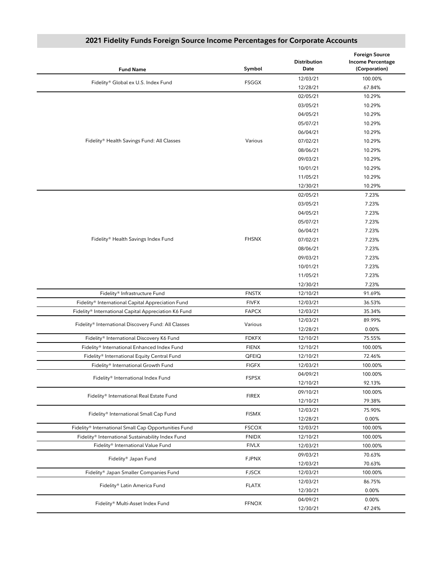| <b>Fund Name</b>                                     | Symbol       | <b>Distribution</b><br>Date | <b>Foreign Source</b><br><b>Income Percentage</b><br>(Corporation) |
|------------------------------------------------------|--------------|-----------------------------|--------------------------------------------------------------------|
|                                                      |              | 12/03/21                    | 100.00%                                                            |
| Fidelity® Global ex U.S. Index Fund                  | <b>FSGGX</b> | 12/28/21                    | 67.84%                                                             |
|                                                      |              | 02/05/21                    | 10.29%                                                             |
|                                                      |              | 03/05/21                    | 10.29%                                                             |
|                                                      |              | 04/05/21                    | 10.29%                                                             |
|                                                      |              | 05/07/21                    | 10.29%                                                             |
|                                                      |              | 06/04/21                    | 10.29%                                                             |
| Fidelity® Health Savings Fund: All Classes           | Various      | 07/02/21                    | 10.29%                                                             |
|                                                      |              | 08/06/21                    | 10.29%                                                             |
|                                                      |              | 09/03/21                    | 10.29%                                                             |
|                                                      |              | 10/01/21                    | 10.29%                                                             |
|                                                      |              | 11/05/21                    | 10.29%                                                             |
|                                                      |              | 12/30/21                    | 10.29%                                                             |
|                                                      |              | 02/05/21                    | 7.23%                                                              |
|                                                      |              | 03/05/21                    | 7.23%                                                              |
|                                                      |              | 04/05/21                    | 7.23%                                                              |
|                                                      |              | 05/07/21                    | 7.23%                                                              |
|                                                      |              | 06/04/21                    | 7.23%                                                              |
| Fidelity® Health Savings Index Fund                  | <b>FHSNX</b> | 07/02/21                    | 7.23%                                                              |
|                                                      |              | 08/06/21                    | 7.23%                                                              |
|                                                      |              | 09/03/21                    | 7.23%                                                              |
|                                                      |              | 10/01/21                    | 7.23%                                                              |
|                                                      |              | 11/05/21                    | 7.23%                                                              |
|                                                      |              | 12/30/21                    | 7.23%                                                              |
| Fidelity® Infrastructure Fund                        | <b>FNSTX</b> | 12/10/21                    | 91.69%                                                             |
| Fidelity® International Capital Appreciation Fund    | <b>FIVFX</b> | 12/03/21                    | 36.53%                                                             |
| Fidelity® International Capital Appreciation K6 Fund | <b>FAPCX</b> | 12/03/21                    | 35.34%                                                             |
|                                                      |              | 12/03/21                    | 89.99%                                                             |
| Fidelity® International Discovery Fund: All Classes  | Various      | 12/28/21                    | 0.00%                                                              |
| Fidelity® International Discovery K6 Fund            | <b>FDKFX</b> | 12/10/21                    | 75.55%                                                             |
| Fidelity® International Enhanced Index Fund          | <b>FIENX</b> | 12/10/21                    | 100.00%                                                            |
| Fidelity® International Equity Central Fund          | QFEIQ        | 12/10/21                    | 72.46%                                                             |
| Fidelity® International Growth Fund                  | <b>FIGFX</b> | 12/03/21                    | 100.00%                                                            |
| Fidelity® International Index Fund                   |              | 04/09/21                    | 100.00%                                                            |
|                                                      | <b>FSPSX</b> | 12/10/21                    | 92.13%                                                             |
| Fidelity® International Real Estate Fund             | <b>FIREX</b> | 09/10/21                    | 100.00%                                                            |
|                                                      |              | 12/10/21                    | 79.38%                                                             |
|                                                      | <b>FISMX</b> | 12/03/21                    | 75.90%                                                             |
| Fidelity® International Small Cap Fund               |              | 12/28/21                    | 0.00%                                                              |
| Fidelity® International Small Cap Opportunities Fund | <b>FSCOX</b> | 12/03/21                    | 100.00%                                                            |
| Fidelity® International Sustainability Index Fund    | <b>FNIDX</b> | 12/10/21                    | 100.00%                                                            |
| Fidelity® International Value Fund                   | <b>FIVLX</b> | 12/03/21                    | 100.00%                                                            |
|                                                      | <b>FJPNX</b> | 09/03/21                    | 70.63%                                                             |
| Fidelity® Japan Fund                                 |              | 12/03/21                    | 70.63%                                                             |
| Fidelity® Japan Smaller Companies Fund               | <b>FJSCX</b> | 12/03/21                    | 100.00%                                                            |
|                                                      | <b>FLATX</b> | 12/03/21                    | 86.75%                                                             |
| Fidelity® Latin America Fund                         |              | 12/30/21                    | 0.00%                                                              |
|                                                      |              | 04/09/21                    | 0.00%                                                              |
| Fidelity® Multi-Asset Index Fund                     | <b>FFNOX</b> | 12/30/21                    | 47.24%                                                             |

### **2021 Fidelity Funds Foreign Source Income Percentages for Corporate Accounts**